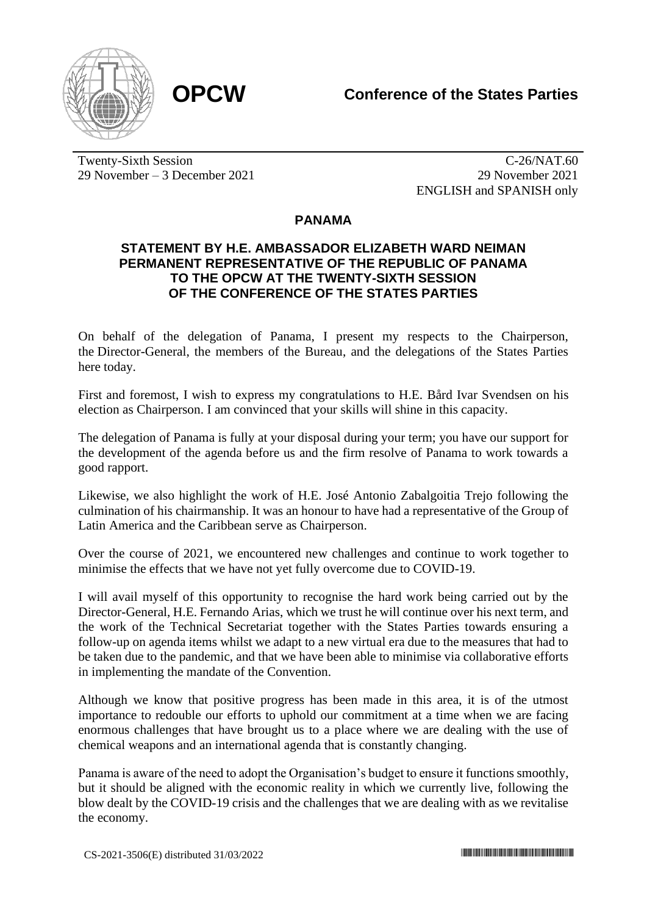

Twenty-Sixth Session 29 November – 3 December 2021

C-26/NAT.60 29 November 2021 ENGLISH and SPANISH only

## **PANAMA**

## **STATEMENT BY H.E. AMBASSADOR ELIZABETH WARD NEIMAN PERMANENT REPRESENTATIVE OF THE REPUBLIC OF PANAMA TO THE OPCW AT THE TWENTY-SIXTH SESSION OF THE CONFERENCE OF THE STATES PARTIES**

On behalf of the delegation of Panama, I present my respects to the Chairperson, the Director-General, the members of the Bureau, and the delegations of the States Parties here today.

First and foremost, I wish to express my congratulations to H.E. Bård Ivar Svendsen on his election as Chairperson. I am convinced that your skills will shine in this capacity.

The delegation of Panama is fully at your disposal during your term; you have our support for the development of the agenda before us and the firm resolve of Panama to work towards a good rapport.

Likewise, we also highlight the work of H.E. José Antonio Zabalgoitia Trejo following the culmination of his chairmanship. It was an honour to have had a representative of the Group of Latin America and the Caribbean serve as Chairperson.

Over the course of 2021, we encountered new challenges and continue to work together to minimise the effects that we have not yet fully overcome due to COVID-19.

I will avail myself of this opportunity to recognise the hard work being carried out by the Director-General, H.E. Fernando Arias, which we trust he will continue over his next term, and the work of the Technical Secretariat together with the States Parties towards ensuring a follow-up on agenda items whilst we adapt to a new virtual era due to the measures that had to be taken due to the pandemic, and that we have been able to minimise via collaborative efforts in implementing the mandate of the Convention.

Although we know that positive progress has been made in this area, it is of the utmost importance to redouble our efforts to uphold our commitment at a time when we are facing enormous challenges that have brought us to a place where we are dealing with the use of chemical weapons and an international agenda that is constantly changing.

Panama is aware of the need to adopt the Organisation's budget to ensure it functions smoothly, but it should be aligned with the economic reality in which we currently live, following the blow dealt by the COVID-19 crisis and the challenges that we are dealing with as we revitalise the economy.